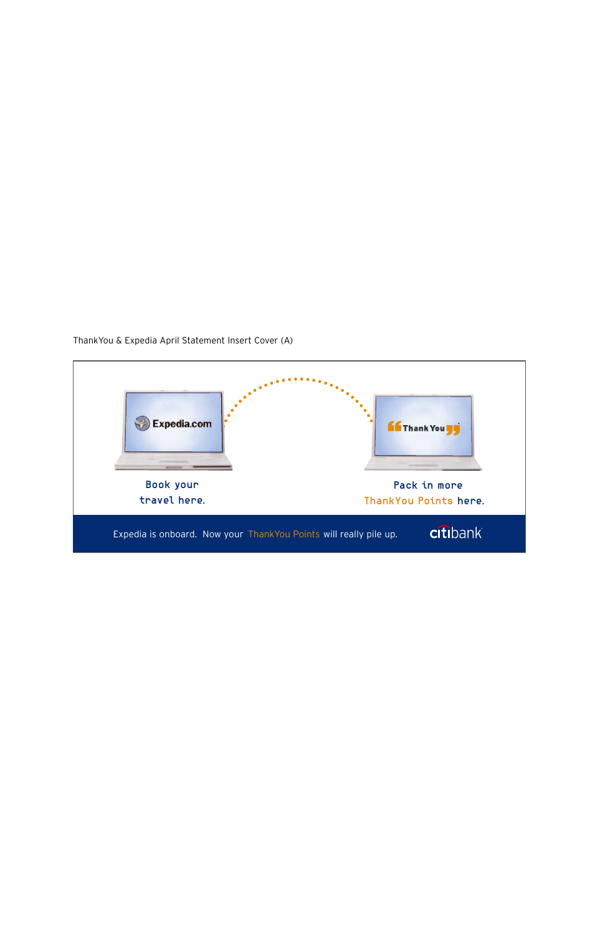ThankYou & Expedia April Statement Insert Cover (A)

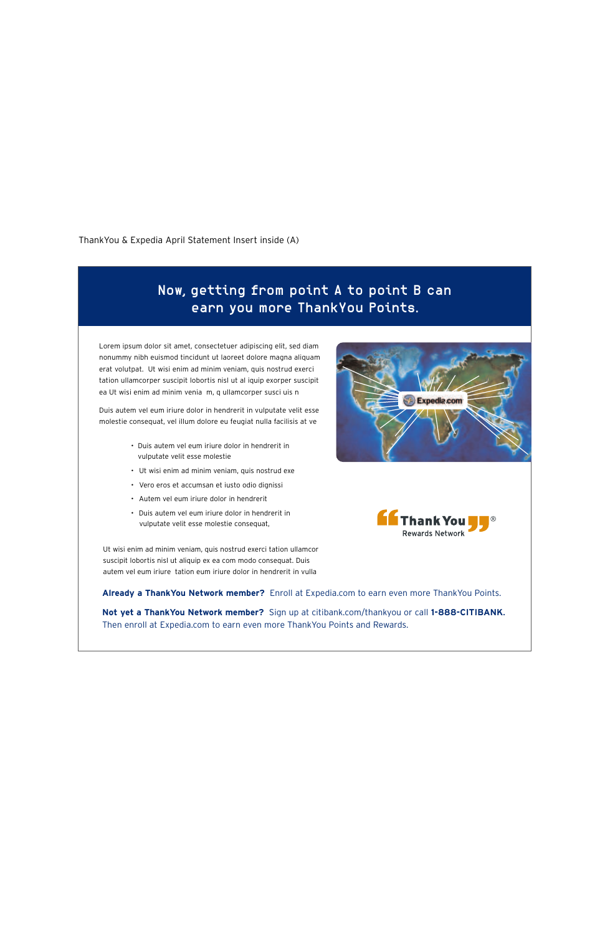ThankYou & Expedia April Statement Insert inside (A)

Ut wisi enim ad minim veniam, quis nostrud exerci tation ullamcor suscipit lobortis nisl ut aliquip ex ea com modo consequat. Duis autem vel eum iriure tation eum iriure dolor in hendrerit in vulla

**Already a ThankYou Network member?** Enroll at Expedia.com to earn even more ThankYou Points.

**Not yet a ThankYou Network member?** Sign up at citibank.com/thankyou or call **1-888-CITIBANK**. Then enroll at Expedia.com to earn even more ThankYou Points and Rewards.

- Duis autem vel eum iriure dolor in hendrerit in vulputate velit esse molestie
- Ut wisi enim ad minim veniam, quis nostrud exe
- Vero eros et accumsan et iusto odio dignissi
- Autem vel eum iriure dolor in hendrerit
- Duis autem vel eum iriure dolor in hendrerit in vulputate velit esse molestie consequat,

**Expedia.com** 



Lorem ipsum dolor sit amet, consectetuer adipiscing elit, sed diam nonummy nibh euismod tincidunt ut laoreet dolore magna aliquam erat volutpat. Ut wisi enim ad minim veniam, quis nostrud exerci tation ullamcorper suscipit lobortis nisl ut al iquip exorper suscipit ea Ut wisi enim ad minim venia m, q ullamcorper susci uis n

Duis autem vel eum iriure dolor in hendrerit in vulputate velit esse molestie consequat, vel illum dolore eu feugiat nulla facilisis at ve

## Now, getting from point A to point B can earn you more ThankYou Points.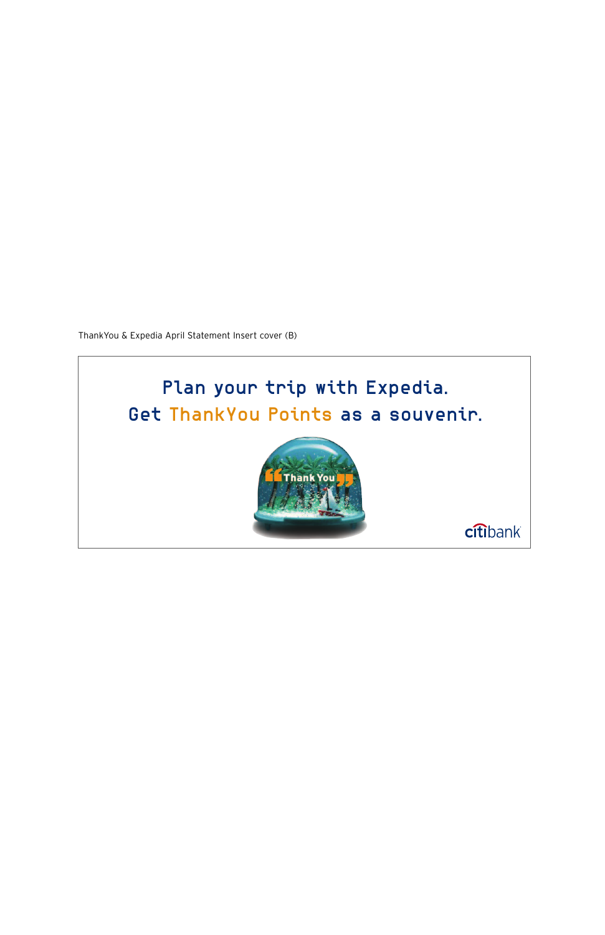ThankYou & Expedia April Statement Insert cover (B)

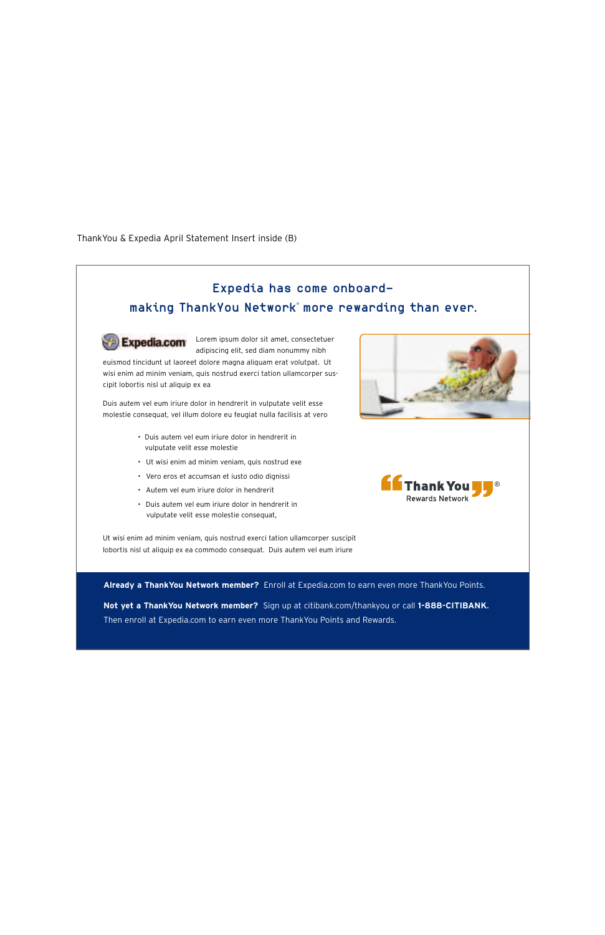## ThankYou & Expedia April Statement Insert inside (B)



Then enroll at Expedia.com to earn even more ThankYou Points and Rewards.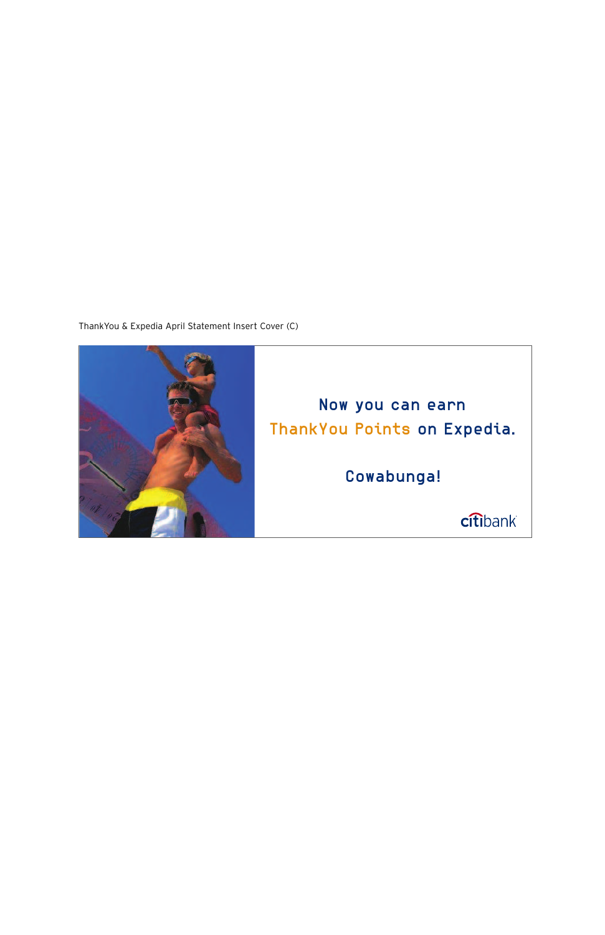ThankYou & Expedia April Statement Insert Cover (C)